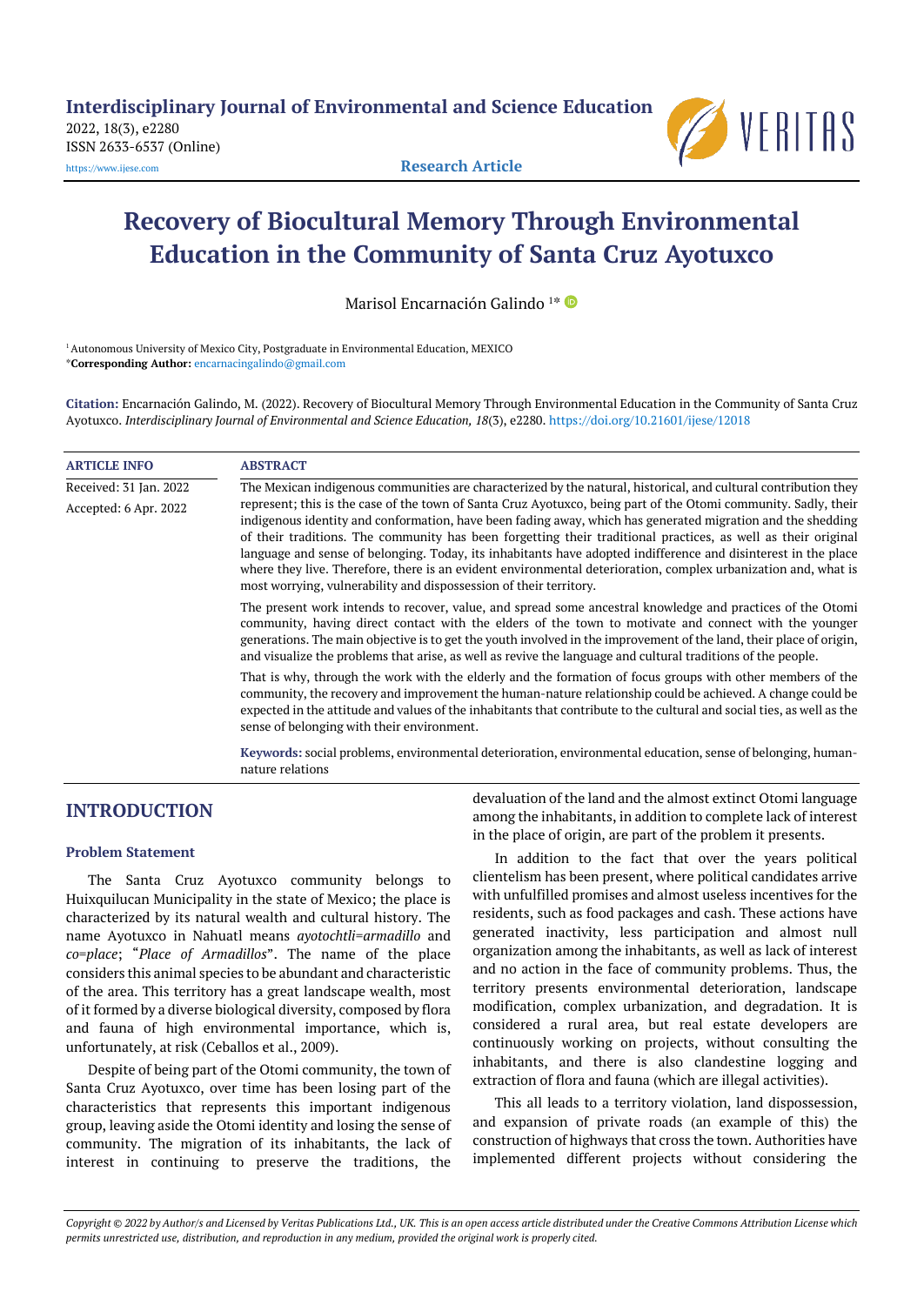2022, 18(3), e2280 ISSN 2633-6537 (Online)



[https://www.ijese.com](https://www.ijese.com/) **Research Article**

# **Recovery of Biocultural Memory Through Environmental Education in the Community of Santa Cruz Ayotuxco**

Marisol Encarnación Galindo 1\*

<sup>1</sup> Autonomous University of Mexico City, Postgraduate in Environmental Education, MEXICO \***Corresponding Author:** [encarnacingalindo@gmail.com](mailto:encarnacingalindo@gmail.com)

**Citation:** Encarnación Galindo, M. (2022). Recovery of Biocultural Memory Through Environmental Education in the Community of Santa Cruz Ayotuxco. *Interdisciplinary Journal of Environmental and Science Education, 18*(3), e2280. <https://doi.org/10.21601/ijese/12018>

| <b>ARTICLE INFO</b>    | <b>ABSTRACT</b>                                                                                                                                                                                                                                                                                                                                                                                                                                                                                                                                                                                                                                           |
|------------------------|-----------------------------------------------------------------------------------------------------------------------------------------------------------------------------------------------------------------------------------------------------------------------------------------------------------------------------------------------------------------------------------------------------------------------------------------------------------------------------------------------------------------------------------------------------------------------------------------------------------------------------------------------------------|
| Received: 31 Jan. 2022 | The Mexican indigenous communities are characterized by the natural, historical, and cultural contribution they                                                                                                                                                                                                                                                                                                                                                                                                                                                                                                                                           |
| Accepted: 6 Apr. 2022  | represent; this is the case of the town of Santa Cruz Ayotuxco, being part of the Otomi community. Sadly, their<br>indigenous identity and conformation, have been fading away, which has generated migration and the shedding<br>of their traditions. The community has been forgetting their traditional practices, as well as their original<br>language and sense of belonging. Today, its inhabitants have adopted indifference and disinterest in the place<br>where they live. Therefore, there is an evident environmental deterioration, complex urbanization and, what is<br>most worrying, vulnerability and dispossession of their territory. |
|                        | The present work intends to recover, value, and spread some ancestral knowledge and practices of the Otomi<br>community, having direct contact with the elders of the town to motivate and connect with the younger<br>generations. The main objective is to get the youth involved in the improvement of the land, their place of origin,<br>and visualize the problems that arise, as well as revive the language and cultural traditions of the people.                                                                                                                                                                                                |
|                        | That is why, through the work with the elderly and the formation of focus groups with other members of the<br>community, the recovery and improvement the human-nature relationship could be achieved. A change could be<br>expected in the attitude and values of the inhabitants that contribute to the cultural and social ties, as well as the<br>sense of belonging with their environment.                                                                                                                                                                                                                                                          |
|                        | Keywords: social problems, environmental deterioration, environmental education, sense of belonging, human-<br>nature relations                                                                                                                                                                                                                                                                                                                                                                                                                                                                                                                           |

# **INTRODUCTION**

## **Problem Statement**

The Santa Cruz Ayotuxco community belongs to Huixquilucan Municipality in the state of Mexico; the place is characterized by its natural wealth and cultural history. The name Ayotuxco in Nahuatl means *ayotochtli*=*armadillo* and *co*=*place*; "*Place of Armadillos*". The name of the place considers this animal species to be abundant and characteristic of the area. This territory has a great landscape wealth, most of it formed by a diverse biological diversity, composed by flora and fauna of high environmental importance, which is, unfortunately, at risk (Ceballos et al., 2009).

Despite of being part of the Otomi community, the town of Santa Cruz Ayotuxco, over time has been losing part of the characteristics that represents this important indigenous group, leaving aside the Otomi identity and losing the sense of community. The migration of its inhabitants, the lack of interest in continuing to preserve the traditions, the

devaluation of the land and the almost extinct Otomi language among the inhabitants, in addition to complete lack of interest in the place of origin, are part of the problem it presents.

In addition to the fact that over the years political clientelism has been present, where political candidates arrive with unfulfilled promises and almost useless incentives for the residents, such as food packages and cash. These actions have generated inactivity, less participation and almost null organization among the inhabitants, as well as lack of interest and no action in the face of community problems. Thus, the territory presents environmental deterioration, landscape modification, complex urbanization, and degradation. It is considered a rural area, but real estate developers are continuously working on projects, without consulting the inhabitants, and there is also clandestine logging and extraction of flora and fauna (which are illegal activities).

This all leads to a territory violation, land dispossession, and expansion of private roads (an example of this) the construction of highways that cross the town. Authorities have implemented different projects without considering the

Copyright @ 2022 by Author/s and Licensed by Veritas Publications Ltd., UK. This is an open access article distributed under the Creative Commons Attribution License which permits unrestricted use, distribution, and reproduction in any medium, provided the original work is properly cited.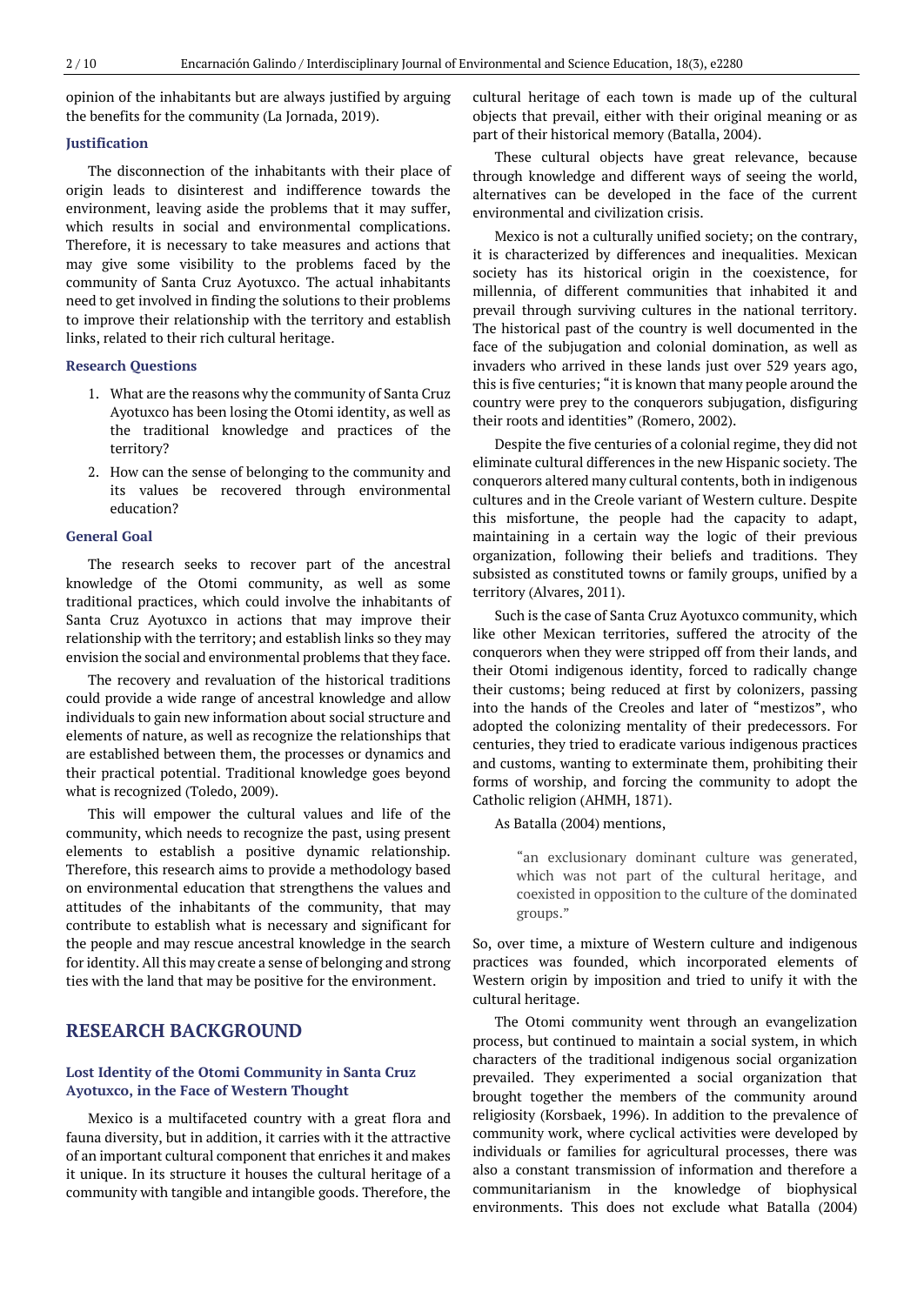opinion of the inhabitants but are always justified by arguing the benefits for the community (La Jornada, 2019).

## **Justification**

The disconnection of the inhabitants with their place of origin leads to disinterest and indifference towards the environment, leaving aside the problems that it may suffer, which results in social and environmental complications. Therefore, it is necessary to take measures and actions that may give some visibility to the problems faced by the community of Santa Cruz Ayotuxco. The actual inhabitants need to get involved in finding the solutions to their problems to improve their relationship with the territory and establish links, related to their rich cultural heritage.

## **Research Questions**

- 1. What are the reasons why the community of Santa Cruz Ayotuxco has been losing the Otomi identity, as well as the traditional knowledge and practices of the territory?
- 2. How can the sense of belonging to the community and its values be recovered through environmental education?

# **General Goal**

The research seeks to recover part of the ancestral knowledge of the Otomi community, as well as some traditional practices, which could involve the inhabitants of Santa Cruz Ayotuxco in actions that may improve their relationship with the territory; and establish links so they may envision the social and environmental problems that they face.

The recovery and revaluation of the historical traditions could provide a wide range of ancestral knowledge and allow individuals to gain new information about social structure and elements of nature, as well as recognize the relationships that are established between them, the processes or dynamics and their practical potential. Traditional knowledge goes beyond what is recognized (Toledo, 2009).

This will empower the cultural values and life of the community, which needs to recognize the past, using present elements to establish a positive dynamic relationship. Therefore, this research aims to provide a methodology based on environmental education that strengthens the values and attitudes of the inhabitants of the community, that may contribute to establish what is necessary and significant for the people and may rescue ancestral knowledge in the search for identity. All this may create a sense of belonging and strong ties with the land that may be positive for the environment.

# **RESEARCH BACKGROUND**

## **Lost Identity of the Otomi Community in Santa Cruz Ayotuxco, in the Face of Western Thought**

Mexico is a multifaceted country with a great flora and fauna diversity, but in addition, it carries with it the attractive of an important cultural component that enriches it and makes it unique. In its structure it houses the cultural heritage of a community with tangible and intangible goods. Therefore, the

cultural heritage of each town is made up of the cultural objects that prevail, either with their original meaning or as part of their historical memory (Batalla, 2004).

These cultural objects have great relevance, because through knowledge and different ways of seeing the world, alternatives can be developed in the face of the current environmental and civilization crisis.

Mexico is not a culturally unified society; on the contrary, it is characterized by differences and inequalities. Mexican society has its historical origin in the coexistence, for millennia, of different communities that inhabited it and prevail through surviving cultures in the national territory. The historical past of the country is well documented in the face of the subjugation and colonial domination, as well as invaders who arrived in these lands just over 529 years ago, this is five centuries; "it is known that many people around the country were prey to the conquerors subjugation, disfiguring their roots and identities" (Romero, 2002).

Despite the five centuries of a colonial regime, they did not eliminate cultural differences in the new Hispanic society. The conquerors altered many cultural contents, both in indigenous cultures and in the Creole variant of Western culture. Despite this misfortune, the people had the capacity to adapt, maintaining in a certain way the logic of their previous organization, following their beliefs and traditions. They subsisted as constituted towns or family groups, unified by a territory (Alvares, 2011).

Such is the case of Santa Cruz Ayotuxco community, which like other Mexican territories, suffered the atrocity of the conquerors when they were stripped off from their lands, and their Otomi indigenous identity, forced to radically change their customs; being reduced at first by colonizers, passing into the hands of the Creoles and later of "mestizos", who adopted the colonizing mentality of their predecessors. For centuries, they tried to eradicate various indigenous practices and customs, wanting to exterminate them, prohibiting their forms of worship, and forcing the community to adopt the Catholic religion (AHMH, 1871).

As Batalla (2004) mentions,

"an exclusionary dominant culture was generated, which was not part of the cultural heritage, and coexisted in opposition to the culture of the dominated groups."

So, over time, a mixture of Western culture and indigenous practices was founded, which incorporated elements of Western origin by imposition and tried to unify it with the cultural heritage.

The Otomi community went through an evangelization process, but continued to maintain a social system, in which characters of the traditional indigenous social organization prevailed. They experimented a social organization that brought together the members of the community around religiosity (Korsbaek, 1996). In addition to the prevalence of community work, where cyclical activities were developed by individuals or families for agricultural processes, there was also a constant transmission of information and therefore a communitarianism in the knowledge of biophysical environments. This does not exclude what Batalla (2004)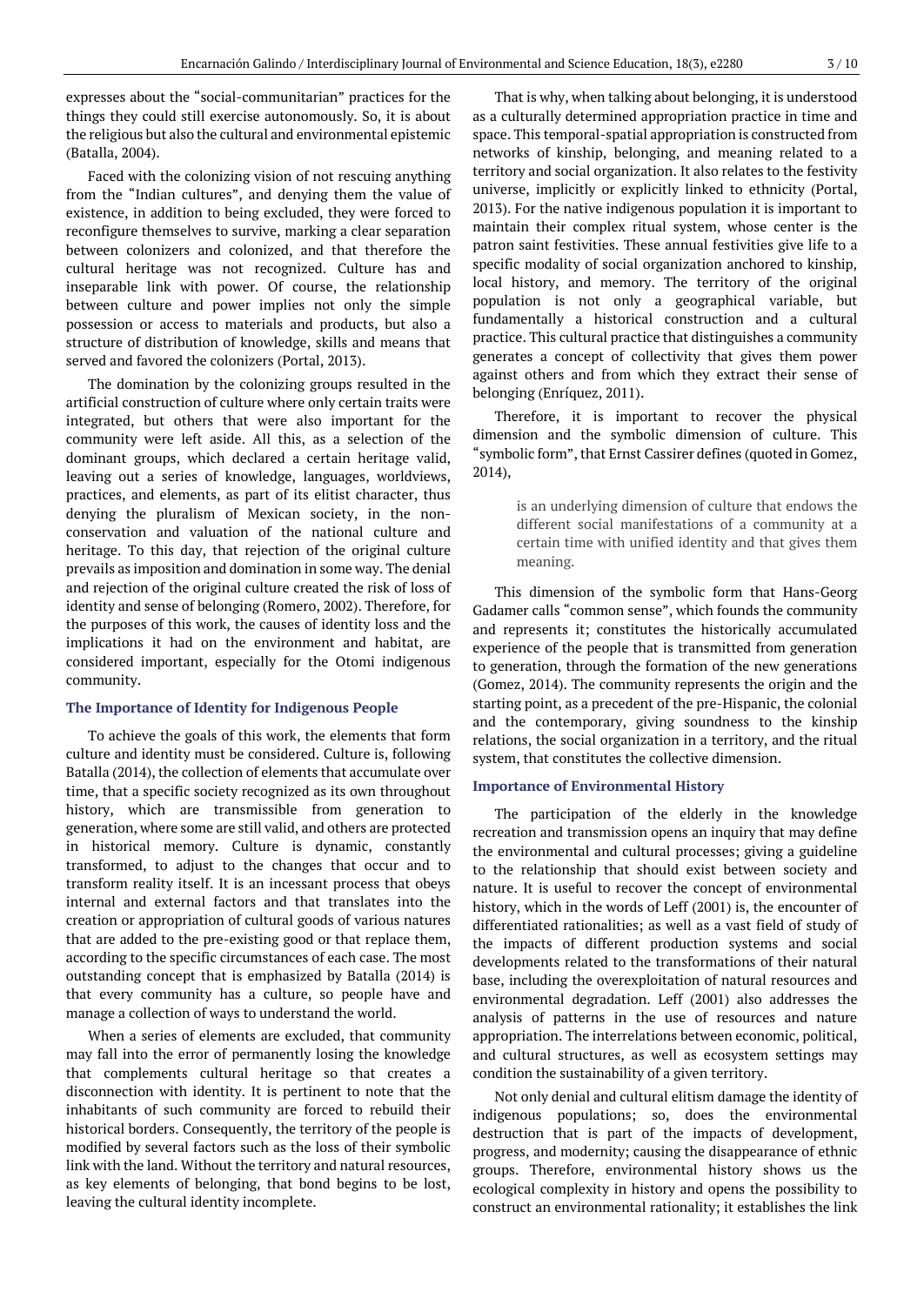expresses about the "social-communitarian" practices for the things they could still exercise autonomously. So, it is about the religious but also the cultural and environmental epistemic (Batalla, 2004).

Faced with the colonizing vision of not rescuing anything from the "Indian cultures", and denying them the value of existence, in addition to being excluded, they were forced to reconfigure themselves to survive, marking a clear separation between colonizers and colonized, and that therefore the cultural heritage was not recognized. Culture has and inseparable link with power. Of course, the relationship between culture and power implies not only the simple possession or access to materials and products, but also a structure of distribution of knowledge, skills and means that served and favored the colonizers (Portal, 2013).

The domination by the colonizing groups resulted in the artificial construction of culture where only certain traits were integrated, but others that were also important for the community were left aside. All this, as a selection of the dominant groups, which declared a certain heritage valid, leaving out a series of knowledge, languages, worldviews, practices, and elements, as part of its elitist character, thus denying the pluralism of Mexican society, in the nonconservation and valuation of the national culture and heritage. To this day, that rejection of the original culture prevails as imposition and domination in some way. The denial and rejection of the original culture created the risk of loss of identity and sense of belonging (Romero, 2002). Therefore, for the purposes of this work, the causes of identity loss and the implications it had on the environment and habitat, are considered important, especially for the Otomi indigenous community.

## **The Importance of Identity for Indigenous People**

To achieve the goals of this work, the elements that form culture and identity must be considered. Culture is, following Batalla (2014), the collection of elements that accumulate over time, that a specific society recognized as its own throughout history, which are transmissible from generation to generation, where some are still valid, and others are protected in historical memory. Culture is dynamic, constantly transformed, to adjust to the changes that occur and to transform reality itself. It is an incessant process that obeys internal and external factors and that translates into the creation or appropriation of cultural goods of various natures that are added to the pre-existing good or that replace them, according to the specific circumstances of each case. The most outstanding concept that is emphasized by Batalla (2014) is that every community has a culture, so people have and manage a collection of ways to understand the world.

When a series of elements are excluded, that community may fall into the error of permanently losing the knowledge that complements cultural heritage so that creates a disconnection with identity. It is pertinent to note that the inhabitants of such community are forced to rebuild their historical borders. Consequently, the territory of the people is modified by several factors such as the loss of their symbolic link with the land. Without the territory and natural resources, as key elements of belonging, that bond begins to be lost, leaving the cultural identity incomplete.

That is why, when talking about belonging, it is understood as a culturally determined appropriation practice in time and space. This temporal-spatial appropriation is constructed from networks of kinship, belonging, and meaning related to a territory and social organization. It also relates to the festivity universe, implicitly or explicitly linked to ethnicity (Portal, 2013). For the native indigenous population it is important to maintain their complex ritual system, whose center is the patron saint festivities. These annual festivities give life to a specific modality of social organization anchored to kinship, local history, and memory. The territory of the original population is not only a geographical variable, but fundamentally a historical construction and a cultural practice. This cultural practice that distinguishes a community generates a concept of collectivity that gives them power against others and from which they extract their sense of belonging (Enríquez, 2011).

Therefore, it is important to recover the physical dimension and the symbolic dimension of culture. This "symbolic form", that Ernst Cassirer defines (quoted in Gomez, 2014),

> is an underlying dimension of culture that endows the different social manifestations of a community at a certain time with unified identity and that gives them meaning.

This dimension of the symbolic form that Hans-Georg Gadamer calls "common sense", which founds the community and represents it; constitutes the historically accumulated experience of the people that is transmitted from generation to generation, through the formation of the new generations (Gomez, 2014). The community represents the origin and the starting point, as a precedent of the pre-Hispanic, the colonial and the contemporary, giving soundness to the kinship relations, the social organization in a territory, and the ritual system, that constitutes the collective dimension.

## **Importance of Environmental History**

The participation of the elderly in the knowledge recreation and transmission opens an inquiry that may define the environmental and cultural processes; giving a guideline to the relationship that should exist between society and nature. It is useful to recover the concept of environmental history, which in the words of Leff (2001) is, the encounter of differentiated rationalities; as well as a vast field of study of the impacts of different production systems and social developments related to the transformations of their natural base, including the overexploitation of natural resources and environmental degradation. Leff (2001) also addresses the analysis of patterns in the use of resources and nature appropriation. The interrelations between economic, political, and cultural structures, as well as ecosystem settings may condition the sustainability of a given territory.

Not only denial and cultural elitism damage the identity of indigenous populations; so, does the environmental destruction that is part of the impacts of development, progress, and modernity; causing the disappearance of ethnic groups. Therefore, environmental history shows us the ecological complexity in history and opens the possibility to construct an environmental rationality; it establishes the link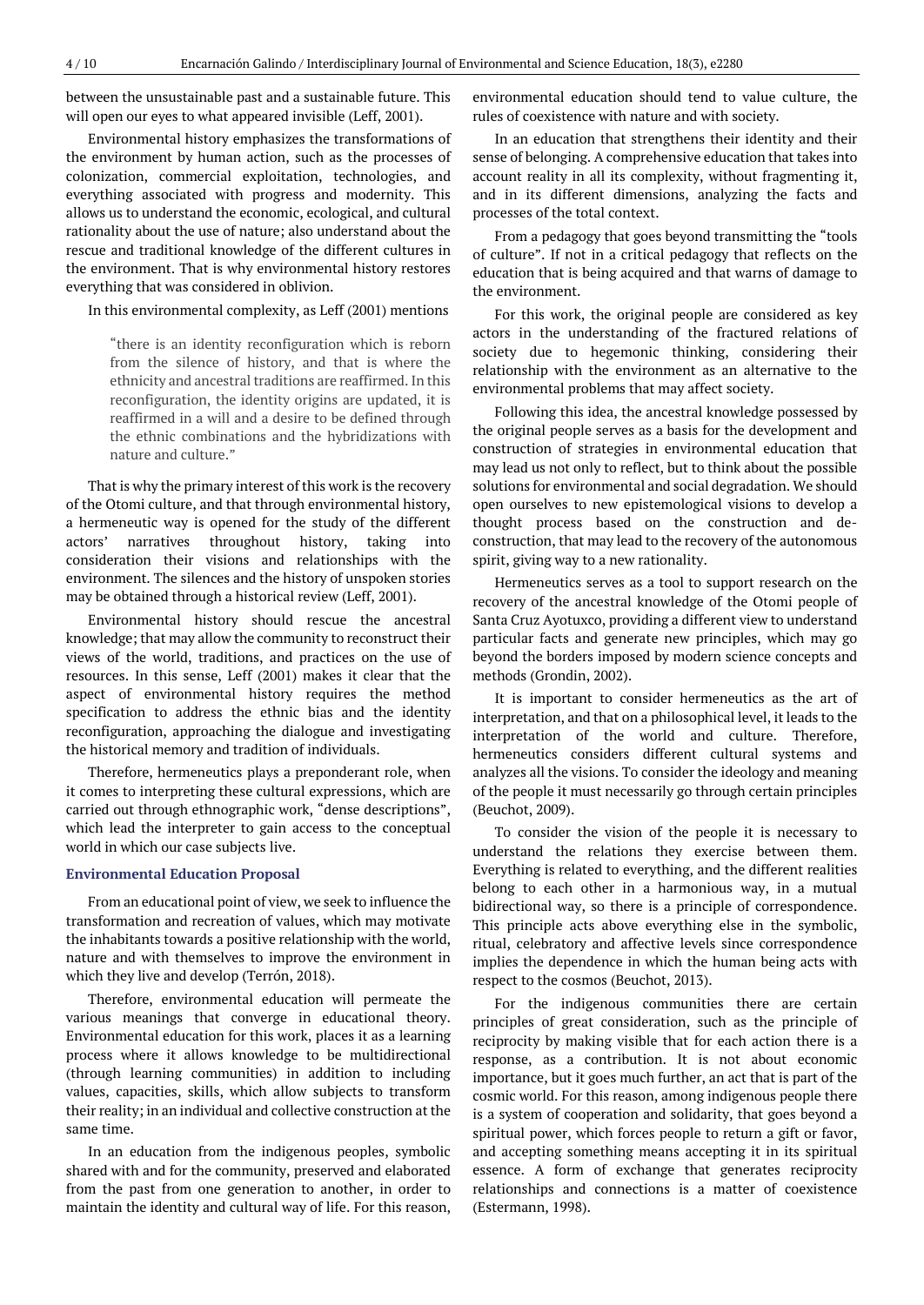between the unsustainable past and a sustainable future. This will open our eyes to what appeared invisible (Leff, 2001).

Environmental history emphasizes the transformations of the environment by human action, such as the processes of colonization, commercial exploitation, technologies, and everything associated with progress and modernity. This allows us to understand the economic, ecological, and cultural rationality about the use of nature; also understand about the rescue and traditional knowledge of the different cultures in the environment. That is why environmental history restores everything that was considered in oblivion.

In this environmental complexity, as Leff (2001) mentions

"there is an identity reconfiguration which is reborn from the silence of history, and that is where the ethnicity and ancestral traditions are reaffirmed. In this reconfiguration, the identity origins are updated, it is reaffirmed in a will and a desire to be defined through the ethnic combinations and the hybridizations with nature and culture."

That is why the primary interest of this work is the recovery of the Otomi culture, and that through environmental history, a hermeneutic way is opened for the study of the different actors' narratives throughout history, taking into consideration their visions and relationships with the environment. The silences and the history of unspoken stories may be obtained through a historical review (Leff, 2001).

Environmental history should rescue the ancestral knowledge; that may allow the community to reconstruct their views of the world, traditions, and practices on the use of resources. In this sense, Leff (2001) makes it clear that the aspect of environmental history requires the method specification to address the ethnic bias and the identity reconfiguration, approaching the dialogue and investigating the historical memory and tradition of individuals.

Therefore, hermeneutics plays a preponderant role, when it comes to interpreting these cultural expressions, which are carried out through ethnographic work, "dense descriptions", which lead the interpreter to gain access to the conceptual world in which our case subjects live.

#### **Environmental Education Proposal**

From an educational point of view, we seek to influence the transformation and recreation of values, which may motivate the inhabitants towards a positive relationship with the world, nature and with themselves to improve the environment in which they live and develop (Terrón, 2018).

Therefore, environmental education will permeate the various meanings that converge in educational theory. Environmental education for this work, places it as a learning process where it allows knowledge to be multidirectional (through learning communities) in addition to including values, capacities, skills, which allow subjects to transform their reality; in an individual and collective construction at the same time.

In an education from the indigenous peoples, symbolic shared with and for the community, preserved and elaborated from the past from one generation to another, in order to maintain the identity and cultural way of life. For this reason,

environmental education should tend to value culture, the rules of coexistence with nature and with society.

In an education that strengthens their identity and their sense of belonging. A comprehensive education that takes into account reality in all its complexity, without fragmenting it, and in its different dimensions, analyzing the facts and processes of the total context.

From a pedagogy that goes beyond transmitting the "tools of culture". If not in a critical pedagogy that reflects on the education that is being acquired and that warns of damage to the environment.

For this work, the original people are considered as key actors in the understanding of the fractured relations of society due to hegemonic thinking, considering their relationship with the environment as an alternative to the environmental problems that may affect society.

Following this idea, the ancestral knowledge possessed by the original people serves as a basis for the development and construction of strategies in environmental education that may lead us not only to reflect, but to think about the possible solutions for environmental and social degradation. We should open ourselves to new epistemological visions to develop a thought process based on the construction and deconstruction, that may lead to the recovery of the autonomous spirit, giving way to a new rationality.

Hermeneutics serves as a tool to support research on the recovery of the ancestral knowledge of the Otomi people of Santa Cruz Ayotuxco, providing a different view to understand particular facts and generate new principles, which may go beyond the borders imposed by modern science concepts and methods (Grondin, 2002).

It is important to consider hermeneutics as the art of interpretation, and that on a philosophical level, it leads to the interpretation of the world and culture. Therefore, hermeneutics considers different cultural systems and analyzes all the visions. To consider the ideology and meaning of the people it must necessarily go through certain principles (Beuchot, 2009).

To consider the vision of the people it is necessary to understand the relations they exercise between them. Everything is related to everything, and the different realities belong to each other in a harmonious way, in a mutual bidirectional way, so there is a principle of correspondence. This principle acts above everything else in the symbolic, ritual, celebratory and affective levels since correspondence implies the dependence in which the human being acts with respect to the cosmos (Beuchot, 2013).

For the indigenous communities there are certain principles of great consideration, such as the principle of reciprocity by making visible that for each action there is a response, as a contribution. It is not about economic importance, but it goes much further, an act that is part of the cosmic world. For this reason, among indigenous people there is a system of cooperation and solidarity, that goes beyond a spiritual power, which forces people to return a gift or favor, and accepting something means accepting it in its spiritual essence. A form of exchange that generates reciprocity relationships and connections is a matter of coexistence (Estermann, 1998).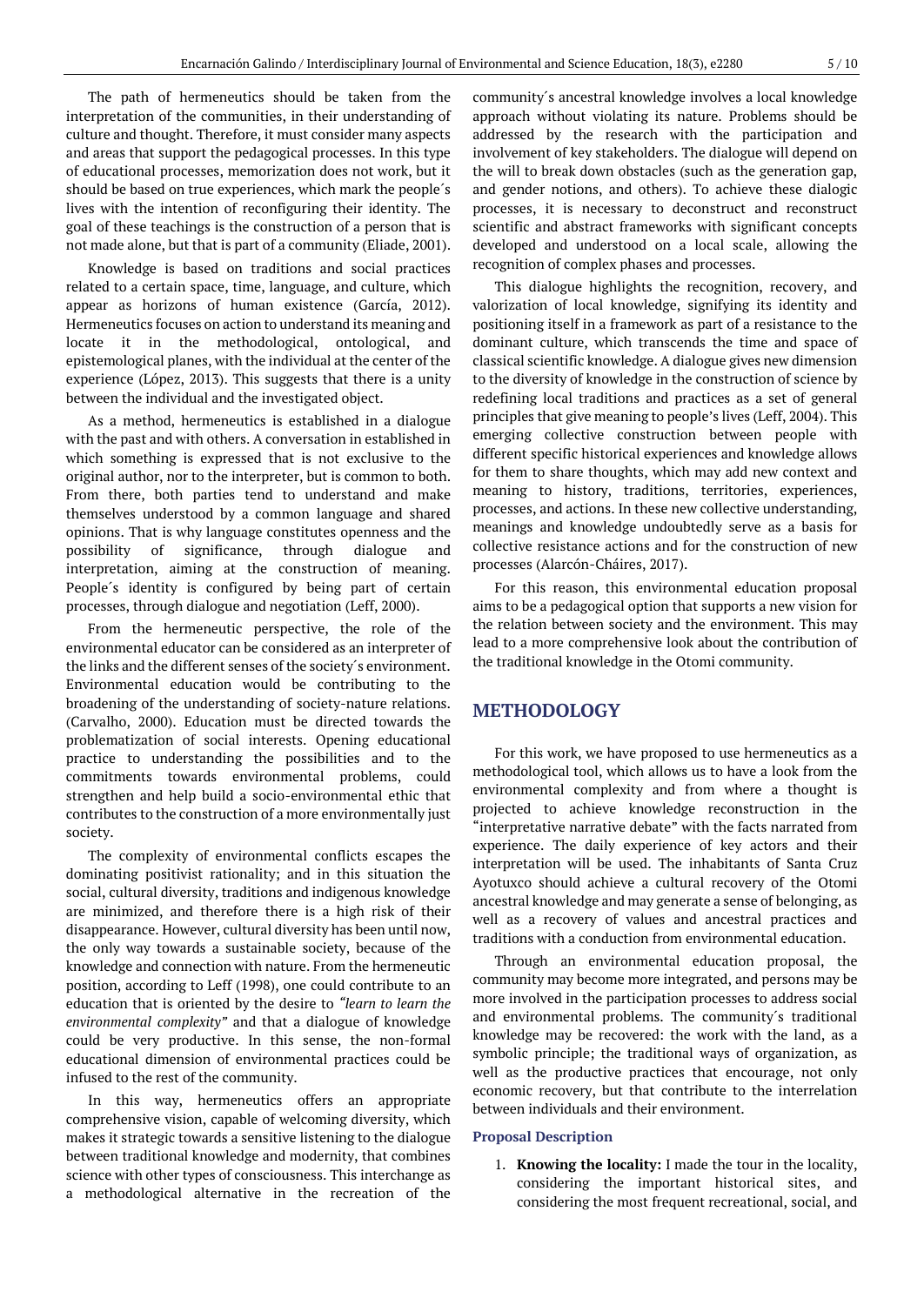The path of hermeneutics should be taken from the interpretation of the communities, in their understanding of culture and thought. Therefore, it must consider many aspects and areas that support the pedagogical processes. In this type of educational processes, memorization does not work, but it should be based on true experiences, which mark the people´s lives with the intention of reconfiguring their identity. The goal of these teachings is the construction of a person that is not made alone, but that is part of a community (Eliade, 2001).

Knowledge is based on traditions and social practices related to a certain space, time, language, and culture, which appear as horizons of human existence (García, 2012). Hermeneutics focuses on action to understand its meaning and locate it in the methodological, ontological, and epistemological planes, with the individual at the center of the experience (López, 2013). This suggests that there is a unity between the individual and the investigated object.

As a method, hermeneutics is established in a dialogue with the past and with others. A conversation in established in which something is expressed that is not exclusive to the original author, nor to the interpreter, but is common to both. From there, both parties tend to understand and make themselves understood by a common language and shared opinions. That is why language constitutes openness and the possibility of significance, through dialogue and interpretation, aiming at the construction of meaning. People´s identity is configured by being part of certain processes, through dialogue and negotiation (Leff, 2000).

From the hermeneutic perspective, the role of the environmental educator can be considered as an interpreter of the links and the different senses of the society´s environment. Environmental education would be contributing to the broadening of the understanding of society-nature relations. (Carvalho, 2000). Education must be directed towards the problematization of social interests. Opening educational practice to understanding the possibilities and to the commitments towards environmental problems, could strengthen and help build a socio-environmental ethic that contributes to the construction of a more environmentally just society.

The complexity of environmental conflicts escapes the dominating positivist rationality; and in this situation the social, cultural diversity, traditions and indigenous knowledge are minimized, and therefore there is a high risk of their disappearance. However, cultural diversity has been until now, the only way towards a sustainable society, because of the knowledge and connection with nature. From the hermeneutic position, according to Leff (1998), one could contribute to an education that is oriented by the desire to *"learn to learn the environmental complexity"* and that a dialogue of knowledge could be very productive. In this sense, the non-formal educational dimension of environmental practices could be infused to the rest of the community.

In this way, hermeneutics offers an appropriate comprehensive vision, capable of welcoming diversity, which makes it strategic towards a sensitive listening to the dialogue between traditional knowledge and modernity, that combines science with other types of consciousness. This interchange as a methodological alternative in the recreation of the

community´s ancestral knowledge involves a local knowledge approach without violating its nature. Problems should be addressed by the research with the participation and involvement of key stakeholders. The dialogue will depend on the will to break down obstacles (such as the generation gap, and gender notions, and others). To achieve these dialogic processes, it is necessary to deconstruct and reconstruct scientific and abstract frameworks with significant concepts developed and understood on a local scale, allowing the recognition of complex phases and processes.

This dialogue highlights the recognition, recovery, and valorization of local knowledge, signifying its identity and positioning itself in a framework as part of a resistance to the dominant culture, which transcends the time and space of classical scientific knowledge. A dialogue gives new dimension to the diversity of knowledge in the construction of science by redefining local traditions and practices as a set of general principles that give meaning to people's lives (Leff, 2004). This emerging collective construction between people with different specific historical experiences and knowledge allows for them to share thoughts, which may add new context and meaning to history, traditions, territories, experiences, processes, and actions. In these new collective understanding, meanings and knowledge undoubtedly serve as a basis for collective resistance actions and for the construction of new processes (Alarcón-Cháires, 2017).

For this reason, this environmental education proposal aims to be a pedagogical option that supports a new vision for the relation between society and the environment. This may lead to a more comprehensive look about the contribution of the traditional knowledge in the Otomi community.

# **METHODOLOGY**

For this work, we have proposed to use hermeneutics as a methodological tool, which allows us to have a look from the environmental complexity and from where a thought is projected to achieve knowledge reconstruction in the "interpretative narrative debate" with the facts narrated from experience. The daily experience of key actors and their interpretation will be used. The inhabitants of Santa Cruz Ayotuxco should achieve a cultural recovery of the Otomi ancestral knowledge and may generate a sense of belonging, as well as a recovery of values and ancestral practices and traditions with a conduction from environmental education.

Through an environmental education proposal, the community may become more integrated, and persons may be more involved in the participation processes to address social and environmental problems. The community´s traditional knowledge may be recovered: the work with the land, as a symbolic principle; the traditional ways of organization, as well as the productive practices that encourage, not only economic recovery, but that contribute to the interrelation between individuals and their environment.

#### **Proposal Description**

1. **Knowing the locality:** I made the tour in the locality, considering the important historical sites, and considering the most frequent recreational, social, and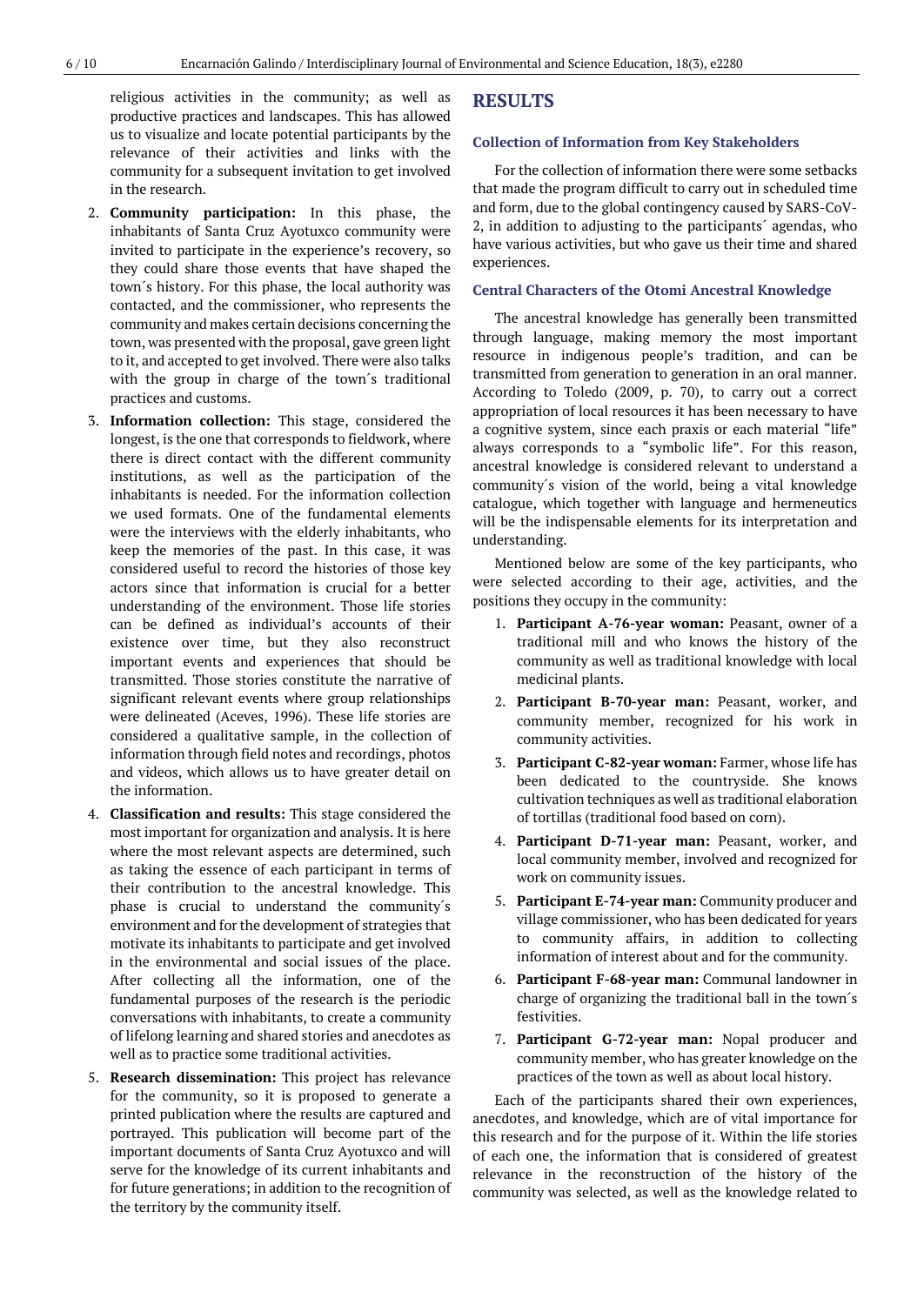religious activities in the community; as well as productive practices and landscapes. This has allowed us to visualize and locate potential participants by the relevance of their activities and links with the community for a subsequent invitation to get involved in the research.

- 2. **Community participation:** In this phase, the inhabitants of Santa Cruz Ayotuxco community were invited to participate in the experience's recovery, so they could share those events that have shaped the town´s history. For this phase, the local authority was contacted, and the commissioner, who represents the community and makes certain decisions concerning the town, was presented with the proposal, gave green light to it, and accepted to get involved. There were also talks with the group in charge of the town´s traditional practices and customs.
- 3. **Information collection:** This stage, considered the longest, is the one that corresponds to fieldwork, where there is direct contact with the different community institutions, as well as the participation of the inhabitants is needed. For the information collection we used formats. One of the fundamental elements were the interviews with the elderly inhabitants, who keep the memories of the past. In this case, it was considered useful to record the histories of those key actors since that information is crucial for a better understanding of the environment. Those life stories can be defined as individual's accounts of their existence over time, but they also reconstruct important events and experiences that should be transmitted. Those stories constitute the narrative of significant relevant events where group relationships were delineated (Aceves, 1996). These life stories are considered a qualitative sample, in the collection of information through field notes and recordings, photos and videos, which allows us to have greater detail on the information.
- 4. **Classification and results:** This stage considered the most important for organization and analysis. It is here where the most relevant aspects are determined, such as taking the essence of each participant in terms of their contribution to the ancestral knowledge. This phase is crucial to understand the community´s environment and forthe development of strategies that motivate its inhabitants to participate and get involved in the environmental and social issues of the place. After collecting all the information, one of the fundamental purposes of the research is the periodic conversations with inhabitants, to create a community of lifelong learning and shared stories and anecdotes as well as to practice some traditional activities.
- 5. **Research dissemination:** This project has relevance for the community, so it is proposed to generate a printed publication where the results are captured and portrayed. This publication will become part of the important documents of Santa Cruz Ayotuxco and will serve for the knowledge of its current inhabitants and for future generations; in addition to the recognition of the territory by the community itself.

# **RESULTS**

#### **Collection of Information from Key Stakeholders**

For the collection of information there were some setbacks that made the program difficult to carry out in scheduled time and form, due to the global contingency caused by SARS-CoV-2, in addition to adjusting to the participants´ agendas, who have various activities, but who gave us their time and shared experiences.

#### **Central Characters of the Otomi Ancestral Knowledge**

The ancestral knowledge has generally been transmitted through language, making memory the most important resource in indigenous people's tradition, and can be transmitted from generation to generation in an oral manner. According to Toledo (2009, p. 70), to carry out a correct appropriation of local resources it has been necessary to have a cognitive system, since each praxis or each material "life" always corresponds to a "symbolic life". For this reason, ancestral knowledge is considered relevant to understand a community´s vision of the world, being a vital knowledge catalogue, which together with language and hermeneutics will be the indispensable elements for its interpretation and understanding.

Mentioned below are some of the key participants, who were selected according to their age, activities, and the positions they occupy in the community:

- 1. **Participant A-76-year woman:** Peasant, owner of a traditional mill and who knows the history of the community as well as traditional knowledge with local medicinal plants.
- 2. **Participant B-70-year man:** Peasant, worker, and community member, recognized for his work in community activities.
- 3. **Participant C-82-year woman:** Farmer, whose life has been dedicated to the countryside. She knows cultivation techniques as well as traditional elaboration of tortillas (traditional food based on corn).
- 4. **Participant D-71-year man:** Peasant, worker, and local community member, involved and recognized for work on community issues.
- 5. **Participant E-74-year man:** Community producer and village commissioner, who has been dedicated for years to community affairs, in addition to collecting information of interest about and for the community.
- 6. **Participant F-68-year man:** Communal landowner in charge of organizing the traditional ball in the town´s festivities.
- 7. **Participant G-72-year man:** Nopal producer and community member, who has greater knowledge on the practices of the town as well as about local history.

Each of the participants shared their own experiences, anecdotes, and knowledge, which are of vital importance for this research and for the purpose of it. Within the life stories of each one, the information that is considered of greatest relevance in the reconstruction of the history of the community was selected, as well as the knowledge related to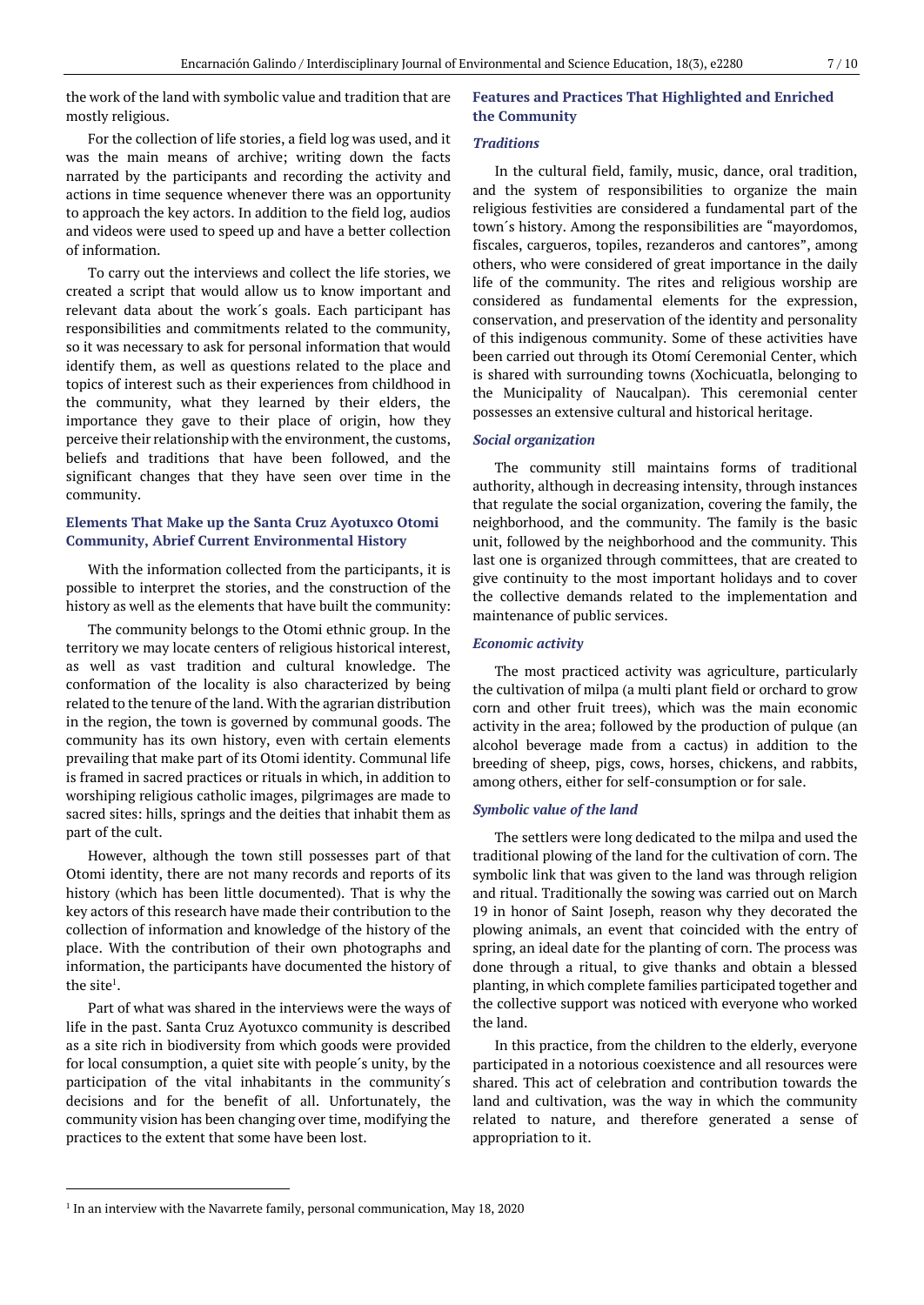the work of the land with symbolic value and tradition that are mostly religious.

For the collection of life stories, a field log was used, and it was the main means of archive; writing down the facts narrated by the participants and recording the activity and actions in time sequence whenever there was an opportunity to approach the key actors. In addition to the field log, audios and videos were used to speed up and have a better collection of information.

To carry out the interviews and collect the life stories, we created a script that would allow us to know important and relevant data about the work´s goals. Each participant has responsibilities and commitments related to the community, so it was necessary to ask for personal information that would identify them, as well as questions related to the place and topics of interest such as their experiences from childhood in the community, what they learned by their elders, the importance they gave to their place of origin, how they perceive their relationship with the environment, the customs, beliefs and traditions that have been followed, and the significant changes that they have seen over time in the community.

# **Elements That Make up the Santa Cruz Ayotuxco Otomi Community, Abrief Current Environmental History**

With the information collected from the participants, it is possible to interpret the stories, and the construction of the history as well as the elements that have built the community:

The community belongs to the Otomi ethnic group. In the territory we may locate centers of religious historical interest, as well as vast tradition and cultural knowledge. The conformation of the locality is also characterized by being related to the tenure of the land. With the agrarian distribution in the region, the town is governed by communal goods. The community has its own history, even with certain elements prevailing that make part of its Otomi identity. Communal life is framed in sacred practices or rituals in which, in addition to worshiping religious catholic images, pilgrimages are made to sacred sites: hills, springs and the deities that inhabit them as part of the cult.

However, although the town still possesses part of that Otomi identity, there are not many records and reports of its history (which has been little documented). That is why the key actors of this research have made their contribution to the collection of information and knowledge of the history of the place. With the contribution of their own photographs and information, the participants have documented the history of the site $^1$ .

Part of what was shared in the interviews were the ways of life in the past. Santa Cruz Ayotuxco community is described as a site rich in biodiversity from which goods were provided for local consumption, a quiet site with people´s unity, by the participation of the vital inhabitants in the community´s decisions and for the benefit of all. Unfortunately, the community vision has been changing over time, modifying the practices to the extent that some have been lost.

# **Features and Practices That Highlighted and Enriched the Community**

## *Traditions*

In the cultural field, family, music, dance, oral tradition, and the system of responsibilities to organize the main religious festivities are considered a fundamental part of the town´s history. Among the responsibilities are "mayordomos, fiscales, cargueros, topiles, rezanderos and cantores", among others, who were considered of great importance in the daily life of the community. The rites and religious worship are considered as fundamental elements for the expression, conservation, and preservation of the identity and personality of this indigenous community. Some of these activities have been carried out through its Otomí Ceremonial Center, which is shared with surrounding towns (Xochicuatla, belonging to the Municipality of Naucalpan). This ceremonial center possesses an extensive cultural and historical heritage.

# *Social organization*

The community still maintains forms of traditional authority, although in decreasing intensity, through instances that regulate the social organization, covering the family, the neighborhood, and the community. The family is the basic unit, followed by the neighborhood and the community. This last one is organized through committees, that are created to give continuity to the most important holidays and to cover the collective demands related to the implementation and maintenance of public services.

## *Economic activity*

The most practiced activity was agriculture, particularly the cultivation of milpa (a multi plant field or orchard to grow corn and other fruit trees), which was the main economic activity in the area; followed by the production of pulque (an alcohol beverage made from a cactus) in addition to the breeding of sheep, pigs, cows, horses, chickens, and rabbits, among others, either for self-consumption or for sale.

#### *Symbolic value of the land*

The settlers were long dedicated to the milpa and used the traditional plowing of the land for the cultivation of corn. The symbolic link that was given to the land was through religion and ritual. Traditionally the sowing was carried out on March 19 in honor of Saint Joseph, reason why they decorated the plowing animals, an event that coincided with the entry of spring, an ideal date for the planting of corn. The process was done through a ritual, to give thanks and obtain a blessed planting, in which complete families participated together and the collective support was noticed with everyone who worked the land.

In this practice, from the children to the elderly, everyone participated in a notorious coexistence and all resources were shared. This act of celebration and contribution towards the land and cultivation, was the way in which the community related to nature, and therefore generated a sense of appropriation to it.

<sup>&</sup>lt;sup>1</sup> In an interview with the Navarrete family, personal communication, May 18, 2020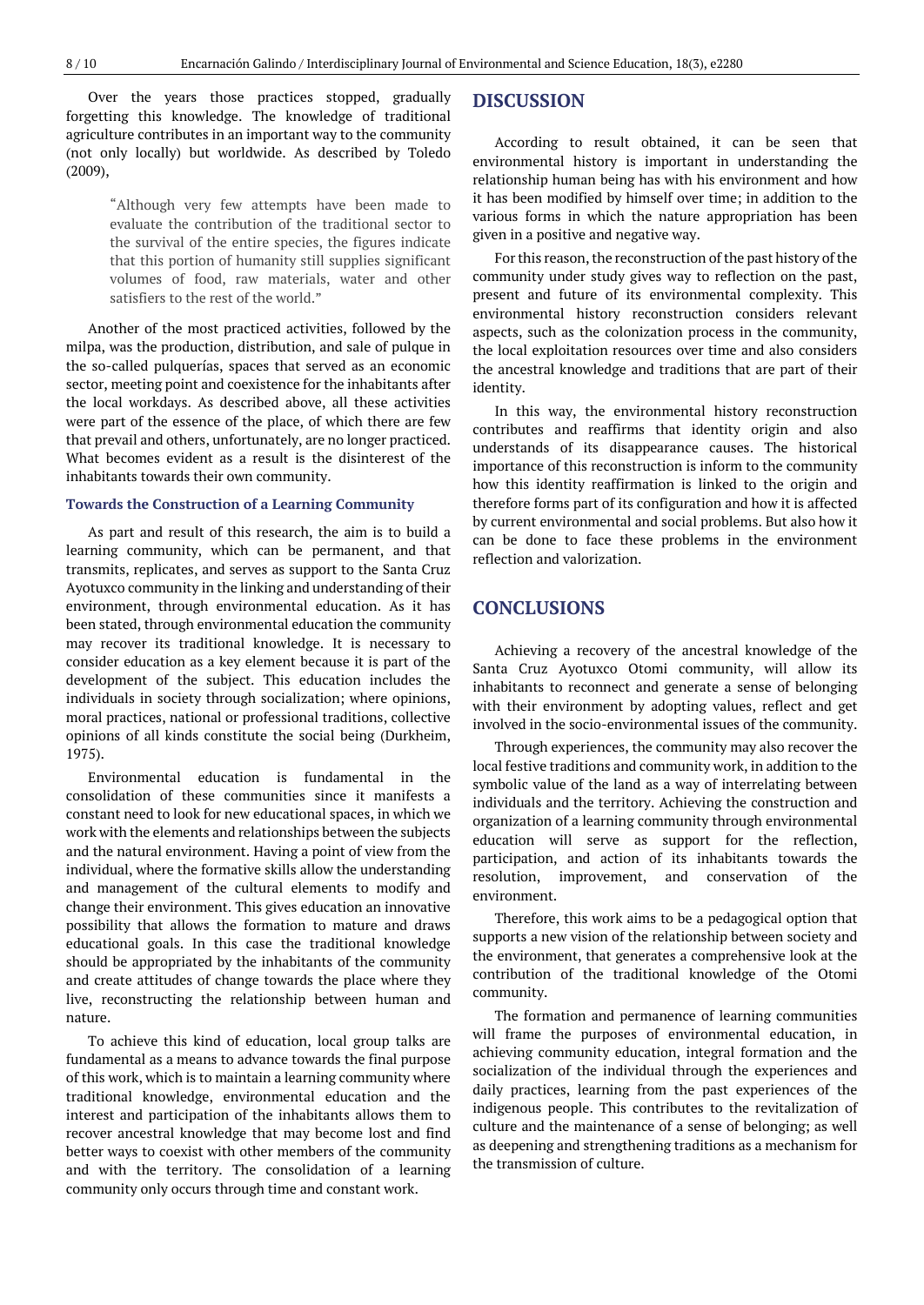Over the years those practices stopped, gradually forgetting this knowledge. The knowledge of traditional agriculture contributes in an important way to the community (not only locally) but worldwide. As described by Toledo (2009),

> "Although very few attempts have been made to evaluate the contribution of the traditional sector to the survival of the entire species, the figures indicate that this portion of humanity still supplies significant volumes of food, raw materials, water and other satisfiers to the rest of the world."

Another of the most practiced activities, followed by the milpa, was the production, distribution, and sale of pulque in the so-called pulquerías, spaces that served as an economic sector, meeting point and coexistence for the inhabitants after the local workdays. As described above, all these activities were part of the essence of the place, of which there are few that prevail and others, unfortunately, are no longer practiced. What becomes evident as a result is the disinterest of the inhabitants towards their own community.

## **Towards the Construction of a Learning Community**

As part and result of this research, the aim is to build a learning community, which can be permanent, and that transmits, replicates, and serves as support to the Santa Cruz Ayotuxco community in the linking and understanding of their environment, through environmental education. As it has been stated, through environmental education the community may recover its traditional knowledge. It is necessary to consider education as a key element because it is part of the development of the subject. This education includes the individuals in society through socialization; where opinions, moral practices, national or professional traditions, collective opinions of all kinds constitute the social being (Durkheim, 1975).

Environmental education is fundamental in the consolidation of these communities since it manifests a constant need to look for new educational spaces, in which we work with the elements and relationships between the subjects and the natural environment. Having a point of view from the individual, where the formative skills allow the understanding and management of the cultural elements to modify and change their environment. This gives education an innovative possibility that allows the formation to mature and draws educational goals. In this case the traditional knowledge should be appropriated by the inhabitants of the community and create attitudes of change towards the place where they live, reconstructing the relationship between human and nature.

To achieve this kind of education, local group talks are fundamental as a means to advance towards the final purpose of this work, which is to maintain a learning community where traditional knowledge, environmental education and the interest and participation of the inhabitants allows them to recover ancestral knowledge that may become lost and find better ways to coexist with other members of the community and with the territory. The consolidation of a learning community only occurs through time and constant work.

# **DISCUSSION**

According to result obtained, it can be seen that environmental history is important in understanding the relationship human being has with his environment and how it has been modified by himself over time; in addition to the various forms in which the nature appropriation has been given in a positive and negative way.

For this reason, the reconstruction of the past history of the community under study gives way to reflection on the past, present and future of its environmental complexity. This environmental history reconstruction considers relevant aspects, such as the colonization process in the community, the local exploitation resources over time and also considers the ancestral knowledge and traditions that are part of their identity.

In this way, the environmental history reconstruction contributes and reaffirms that identity origin and also understands of its disappearance causes. The historical importance of this reconstruction is inform to the community how this identity reaffirmation is linked to the origin and therefore forms part of its configuration and how it is affected by current environmental and social problems. But also how it can be done to face these problems in the environment reflection and valorization.

# **CONCLUSIONS**

Achieving a recovery of the ancestral knowledge of the Santa Cruz Ayotuxco Otomi community, will allow its inhabitants to reconnect and generate a sense of belonging with their environment by adopting values, reflect and get involved in the socio-environmental issues of the community.

Through experiences, the community may also recover the local festive traditions and community work, in addition to the symbolic value of the land as a way of interrelating between individuals and the territory. Achieving the construction and organization of a learning community through environmental education will serve as support for the reflection, participation, and action of its inhabitants towards the resolution, improvement, and conservation of the environment.

Therefore, this work aims to be a pedagogical option that supports a new vision of the relationship between society and the environment, that generates a comprehensive look at the contribution of the traditional knowledge of the Otomi community.

The formation and permanence of learning communities will frame the purposes of environmental education, in achieving community education, integral formation and the socialization of the individual through the experiences and daily practices, learning from the past experiences of the indigenous people. This contributes to the revitalization of culture and the maintenance of a sense of belonging; as well as deepening and strengthening traditions as a mechanism for the transmission of culture.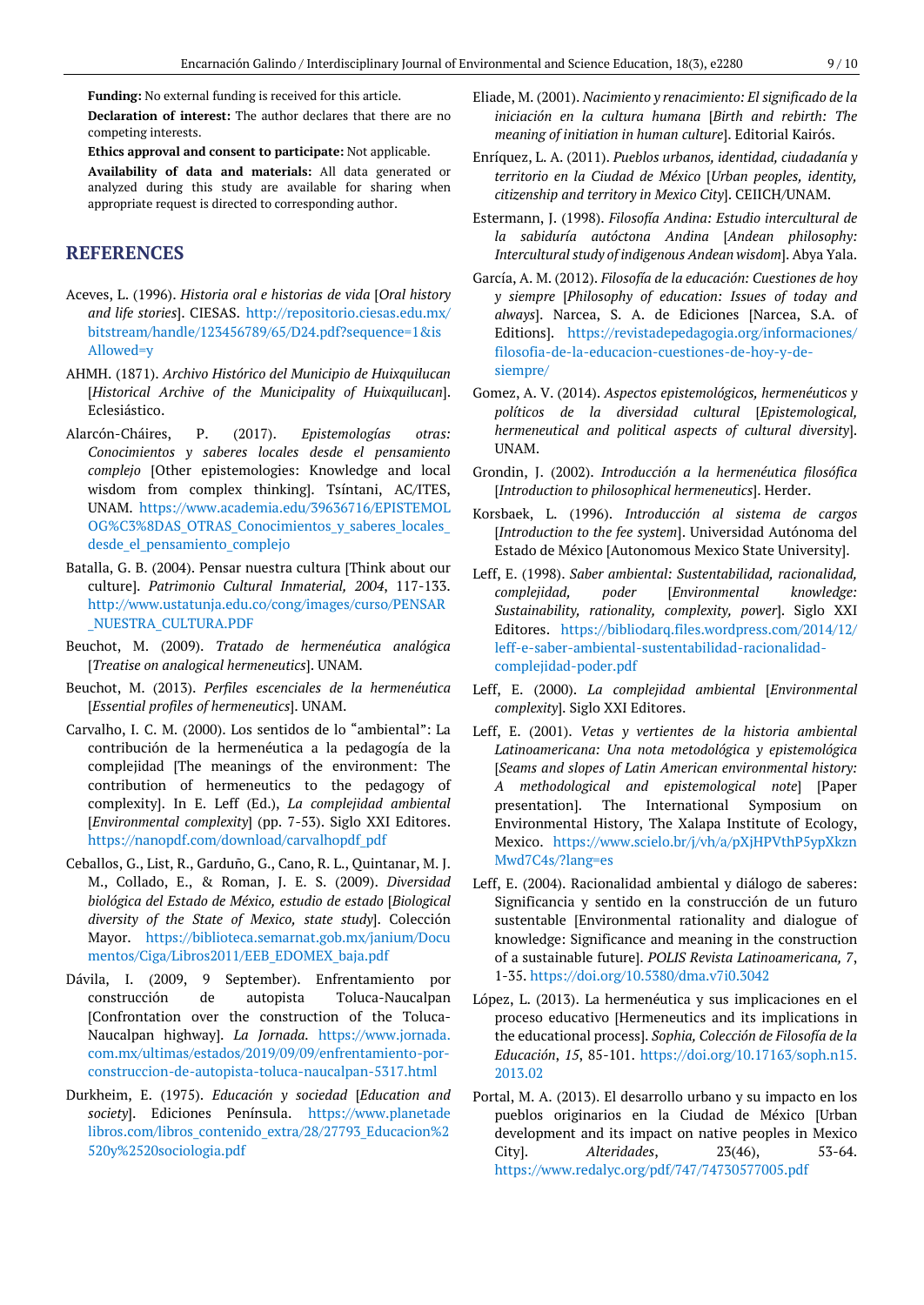**Funding:** No external funding is received for this article. **Declaration of interest:** The author declares that there are no competing interests.

**Ethics approval and consent to participate:** Not applicable. **Availability of data and materials:** All data generated or analyzed during this study are available for sharing when appropriate request is directed to corresponding author.

# **REFERENCES**

- Aceves, L. (1996). *Historia oral e historias de vida* [*Oral history and life stories*]. CIESAS. [http://repositorio.ciesas.edu.mx/](http://repositorio.ciesas.edu.mx/bitstream/handle/123456789/65/D24.pdf?sequence=1&isAllowed=y) [bitstream/handle/123456789/65/D24.pdf?sequence=1&is](http://repositorio.ciesas.edu.mx/bitstream/handle/123456789/65/D24.pdf?sequence=1&isAllowed=y) [Allowed=y](http://repositorio.ciesas.edu.mx/bitstream/handle/123456789/65/D24.pdf?sequence=1&isAllowed=y)
- AHMH. (1871). *Archivo Histórico del Municipio de Huixquilucan* [*Historical Archive of the Municipality of Huixquilucan*]. Eclesiástico.
- Alarcón-Cháires, P. (2017). *Epistemologías otras: Conocimientos y saberes locales desde el pensamiento complejo* [Other epistemologies: Knowledge and local wisdom from complex thinking]. Tsíntani, AC/ITES, UNAM. [https://www.academia.edu/39636716/EPISTEMOL](https://www.academia.edu/39636716/EPISTEMOLOG%C3%8DAS_OTRAS_Conocimientos_y_saberes_locales_desde_el_pensamiento_complejo) OG%C3%8DAS\_OTRAS\_Conocimientos\_y\_saberes\_locales desde el pensamiento complejo
- Batalla, G. B. (2004). Pensar nuestra cultura [Think about our culture]. *Patrimonio Cultural Inmaterial, 2004*, 117-133. [http://www.ustatunja.edu.co/cong/images/curso/PENSAR](http://www.ustatunja.edu.co/cong/images/curso/PENSAR_NUESTRA_CULTURA.PDF) [\\_NUESTRA\\_CULTURA.PDF](http://www.ustatunja.edu.co/cong/images/curso/PENSAR_NUESTRA_CULTURA.PDF)
- Beuchot, M. (2009). *Tratado de hermenéutica analógica* [*Treatise on analogical hermeneutics*]. UNAM.
- Beuchot, M. (2013). *Perfiles escenciales de la hermenéutica* [*Essential profiles of hermeneutics*]. UNAM.
- Carvalho, I. C. M. (2000). Los sentidos de lo "ambiental": La contribución de la hermenéutica a la pedagogía de la complejidad [The meanings of the environment: The contribution of hermeneutics to the pedagogy of complexity]. In E. Leff (Ed.), *La complejidad ambiental* [*Environmental complexity*] (pp. 7-53). Siglo XXI Editores. [https://nanopdf.com/download/carvalhopdf\\_pdf](https://nanopdf.com/download/carvalhopdf_pdf)
- Ceballos, G., List, R., Garduño, G., Cano, R. L., Quintanar, M. J. M., Collado, E., & Roman, J. E. S. (2009). *Diversidad biológica del Estado de México, estudio de estado* [*Biological diversity of the State of Mexico, state study*]. Colección Mayor. [https://biblioteca.semarnat.gob.mx/janium/Docu](https://biblioteca.semarnat.gob.mx/janium/Documentos/Ciga/Libros2011/EEB_EDOMEX_baja.pdf) [mentos/Ciga/Libros2011/EEB\\_EDOMEX\\_baja.pdf](https://biblioteca.semarnat.gob.mx/janium/Documentos/Ciga/Libros2011/EEB_EDOMEX_baja.pdf)
- Dávila, I. (2009, 9 September). Enfrentamiento por construcción de autopista Toluca-Naucalpan [Confrontation over the construction of the Toluca-Naucalpan highway]. *La Jornada.* [https://www.jornada.](https://www.jornada.com.mx/ultimas/estados/2019/09/09/enfrentamiento-por-construccion-de-autopista-toluca-naucalpan-5317.html) [com.mx/ultimas/estados/2019/09/09/enfrentamiento-por](https://www.jornada.com.mx/ultimas/estados/2019/09/09/enfrentamiento-por-construccion-de-autopista-toluca-naucalpan-5317.html)[construccion-de-autopista-toluca-naucalpan-5317.html](https://www.jornada.com.mx/ultimas/estados/2019/09/09/enfrentamiento-por-construccion-de-autopista-toluca-naucalpan-5317.html)
- Durkheim, E. (1975). *Educación y sociedad* [*Education and society*]. Ediciones Península. [https://www.planetade](https://www.planetadelibros.com/libros_contenido_extra/28/27793_Educacion%2520y%2520sociologia.pdf) [libros.com/libros\\_contenido\\_extra/28/27793\\_Educacion%2](https://www.planetadelibros.com/libros_contenido_extra/28/27793_Educacion%2520y%2520sociologia.pdf) [520y%2520sociologia.pdf](https://www.planetadelibros.com/libros_contenido_extra/28/27793_Educacion%2520y%2520sociologia.pdf)
- Eliade, M. (2001). *Nacimiento y renacimiento: El significado de la iniciación en la cultura humana* [*Birth and rebirth: The meaning of initiation in human culture*]. Editorial Kairós.
- Enríquez, L. A. (2011). *Pueblos urbanos, identidad, ciudadanía y territorio en la Ciudad de México* [*Urban peoples, identity, citizenship and territory in Mexico City*]. CEIICH/UNAM.
- Estermann, J. (1998). *Filosofía Andina: Estudio intercultural de la sabiduría autóctona Andina* [*Andean philosophy: Intercultural study of indigenous Andean wisdom*]. Abya Yala.
- García, A. M. (2012). *Filosofía de la educación: Cuestiones de hoy y siempre* [*Philosophy of education: Issues of today and always*]. Narcea, S. A. de Ediciones [Narcea, S.A. of Editions]. [https://revistadepedagogia.org/informaciones/](https://revistadepedagogia.org/informaciones/filosofia-de-la-educacion-cuestiones-de-hoy-y-de-siempre/) [filosofia-de-la-educacion-cuestiones-de-hoy-y-de](https://revistadepedagogia.org/informaciones/filosofia-de-la-educacion-cuestiones-de-hoy-y-de-siempre/)[siempre/](https://revistadepedagogia.org/informaciones/filosofia-de-la-educacion-cuestiones-de-hoy-y-de-siempre/)
- Gomez, A. V. (2014). *Aspectos epistemológicos, hermenéuticos y políticos de la diversidad cultural* [*Epistemological, hermeneutical and political aspects of cultural diversity*]. UNAM.
- Grondin, J. (2002). *Introducción a la hermenéutica filosófica* [*Introduction to philosophical hermeneutics*]. Herder.
- Korsbaek, L. (1996). *Introducción al sistema de cargos* [*Introduction to the fee system*]. Universidad Autónoma del Estado de México [Autonomous Mexico State University].
- Leff, E. (1998). *Saber ambiental: Sustentabilidad, racionalidad, complejidad, poder* [*Environmental knowledge: Sustainability, rationality, complexity, power*]. Siglo XXI Editores. [https://bibliodarq.files.wordpress.com/2014/12/](https://bibliodarq.files.wordpress.com/2014/12/leff-e-saber-ambiental-sustentabilidad-racionalidad-complejidad-poder.pdf) [leff-e-saber-ambiental-sustentabilidad-racionalidad](https://bibliodarq.files.wordpress.com/2014/12/leff-e-saber-ambiental-sustentabilidad-racionalidad-complejidad-poder.pdf)[complejidad-poder.pdf](https://bibliodarq.files.wordpress.com/2014/12/leff-e-saber-ambiental-sustentabilidad-racionalidad-complejidad-poder.pdf)
- Leff, E. (2000). *La complejidad ambiental* [*Environmental complexity*]. Siglo XXI Editores.
- Leff, E. (2001). *Vetas y vertientes de la historia ambiental Latinoamericana: Una nota metodológica y epistemológica* [*Seams and slopes of Latin American environmental history: A methodological and epistemological note*] [Paper presentation]. The International Symposium on Environmental History, The Xalapa Institute of Ecology, Mexico. [https://www.scielo.br/j/vh/a/pXjHPVthP5ypXkzn](https://www.scielo.br/j/vh/a/pXjHPVthP5ypXkznMwd7C4s/?lang=es) [Mwd7C4s/?lang=es](https://www.scielo.br/j/vh/a/pXjHPVthP5ypXkznMwd7C4s/?lang=es)
- Leff, E. (2004). Racionalidad ambiental y diálogo de saberes: Significancia y sentido en la construcción de un futuro sustentable [Environmental rationality and dialogue of knowledge: Significance and meaning in the construction of a sustainable future]. *POLIS Revista Latinoamericana, 7*, 1-35. <https://doi.org/10.5380/dma.v7i0.3042>
- López, L. (2013). La hermenéutica y sus implicaciones en el proceso educativo [Hermeneutics and its implications in the educational process]. *Sophia, Colección de Filosofía de la Educación*, *15*, 85-101. [https://doi.org/10.17163/soph.n15.](https://doi.org/10.17163/soph.n15.2013.02) [2013.02](https://doi.org/10.17163/soph.n15.2013.02)
- Portal, M. A. (2013). El desarrollo urbano y su impacto en los pueblos originarios en la Ciudad de México [Urban development and its impact on native peoples in Mexico City]. *Alteridades*, 23(46), 53-64. <https://www.redalyc.org/pdf/747/74730577005.pdf>